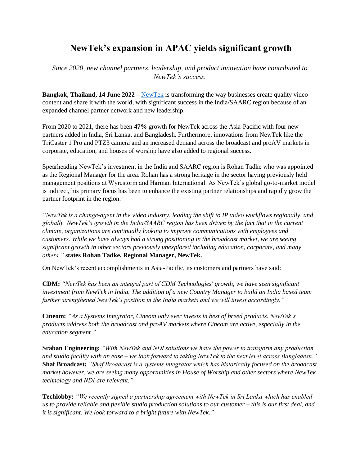## **NewTek's expansion in APAC yields significant growth**

*Since 2020, new channel partners, leadership, and product innovation have contributed to NewTek's success.* 

**Bangkok, Thailand, 14 June 2022 –** [NewTek](https://www.newtek.com/) is transforming the way businesses create quality video content and share it with the world, with significant success in the India/SAARC region because of an expanded channel partner network and new leadership.

From 2020 to 2021, there has been **47%** growth for NewTek across the Asia-Pacific with four new partners added in India, Sri Lanka, and Bangladesh. Furthermore, innovations from NewTek like the TriCaster 1 Pro and PTZ3 camera and an increased demand across the broadcast and proAV markets in corporate, education, and houses of worship have also added to regional success.

Spearheading NewTek's investment in the India and SAARC region is Rohan Tadke who was appointed as the Regional Manager for the area. Rohan has a strong heritage in the sector having previously held management positions at Wyrestorm and Harman International. As NewTek's global go-to-market model is indirect, his primary focus has been to enhance the existing partner relationships and rapidly grow the partner footprint in the region.

*"NewTek is a change-agent in the video industry, leading the shift to IP video workflows regionally, and globally. NewTek's growth in the India/SAARC region has been driven by the fact that in the current climate, organizations are continually looking to improve communications with employees and customers. While we have always had a strong positioning in the broadcast market, we are seeing significant growth in other sectors previously unexplored including education, corporate, and many others,"* **states Rohan Tadke, Regional Manager, NewTek.**

On NewTek's recent accomplishments in Asia-Pacific, its customers and partners have said:

**CDM:** *"NewTek has been an integral part of CDM Technologies' growth, we have seen significant investment from NewTek in India. The addition of a new Country Manager to build an India based team further strengthened NewTek's position in the India markets and we will invest accordingly."*

**Cineom:** *"As a Systems Integrator, Cineom only ever invests in best of breed products. NewTek's products address both the broadcast and proAV markets where Cineom are active, especially in the education segment."*

**Sraban Engineering:** *"With NewTek and NDI solutions we have the power to transform any production and studio facility with an ease – we look forward to taking NewTek to the next level across Bangladesh."* **Shaf Broadcast:** *"Shaf Broadcast is a systems integrator which has historically focused on the broadcast market however, we are seeing many opportunities in House of Worship and other sectors where NewTek technology and NDI are relevant."*

**Techlobby:** *"We recently signed a partnership agreement with NewTek in Sri Lanka which has enabled us to provide reliable and flexible studio production solutions to our customer – this is our first deal, and it is significant. We look forward to a bright future with NewTek."*